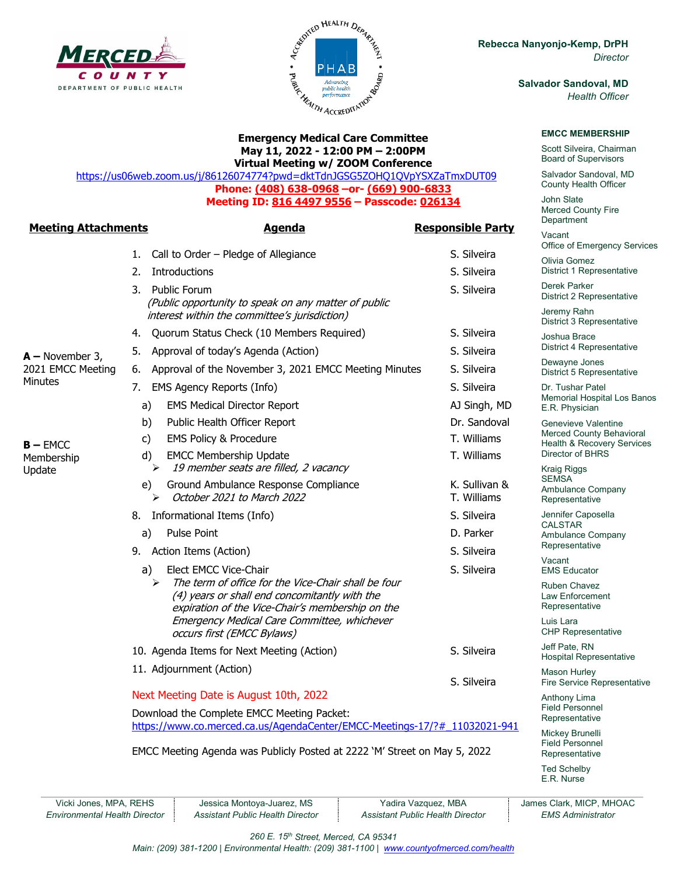



**May 11, 2022 - 12:00 PM – 2:00PM Virtual Meeting w/ ZOOM Conference** 

**Phone: (408) 638-0968 –or- (669) 900-6833 Meeting ID: 816 4497 9556 – Passcode: 026134**

1. Call to Order – Pledge of Allegiance S. Silveira 2. Introductions and the set of the set of the set of the S. Silveira 3. Public Forum S. Silveira

4. Quorum Status Check (10 Members Required) S. Silveira

b) Public Health Officer Report **Dr. Sandoval** c) EMS Policy & Procedure T. Williams d) EMCC Membership Update T. Williams

e) Ground Ambulance Response Compliance Manuscultus K. Sullivan &  $\triangleright$  *October 2021 to March 2022* T. Williams

8. Informational Items (Info) S. Silveira a) Pulse Point **D. Parker** 9. Action Items (Action) S. Silveira a) Elect EMCC Vice-Chair S. Silveira

10. Agenda Items for Next Meeting (Action) S. Silveira

 The term of office for the Vice-Chair shall be four (4) years or shall end concomitantly with the expiration of the Vice-Chair's membership on the Emergency Medical Care Committee, whichever

<https://us06web.zoom.us/j/86126074774?pwd=dktTdnJGSG5ZOHQ1QVpYSXZaTmxDUT09>

**Meeting Attachments Agenda Responsible Party**

(Public opportunity to speak on any matter of public

interest within the committee's jurisdiction)

> 19 member seats are filled, 2 vacancy

occurs first (EMCC Bylaws)

Next Meeting Date is August 10th, 2022 Download the Complete EMCC Meeting Packet:

11. Adjournment (Action)

**Rebecca Nanyonjo-Kemp, DrPH** *Director*

> **Salvador Sandoval, MD** *Health Officer*

#### **EMCC MEMBERSHIP**

Scott Silveira, Chairman Board of Supervisors

Salvador Sandoval, MD County Health Officer

John Slate Merced County Fire **Department** 

Vacant Office of Emergency Services

Olivia Gomez District 1 Representative

Derek Parker District 2 Representative

Jeremy Rahn District 3 Representative

Joshua Brace District 4 Representative

Dewayne Jones District 5 Representative

Dr. Tushar Patel Memorial Hospital Los Banos E.R. Physician

Genevieve Valentine Merced County Behavioral Health & Recovery Services Director of BHRS

Kraig Riggs **SEMSA** Ambulance Company Representative

Jennifer Caposella CALSTAR Ambulance Company Representative

Vacant EMS Educator

Ruben Chavez Law Enforcement Representative

Luis Lara CHP Representative

Jeff Pate, RN Hospital Representative

Mason Hurley Fire Service Representative

Anthony Lima Field Personnel Representative

Mickey Brunelli Field Personnel Representative

Ted Schelby E.R. Nurse

Vicki Jones, MPA, REHS Jessica Montoya-Juarez, MS | Yadira Vazquez, MBA | James Clark, MICP, MHOAC *Environmental Health Director Assistant Public Health Director Assistant Public Health Director EMS Administrator*

S. Silveira

*260 E. 15th Street, Merced, CA 95341* 

[https://www.co.merced.ca.us/AgendaCenter/EMCC-Meetings-17/?#\\_11032021-941](https://www.co.merced.ca.us/AgendaCenter/EMCC-Meetings-17/?#_11032021-941)

EMCC Meeting Agenda was Publicly Posted at 2222 'M' Street on May 5, 2022

*Main: (209) 381-1200 | Environmental Health: (209) 381-1100* | *[www.countyofmerced.com/health](http://www.countyofmerced.com/health)*

**Minutes** 

Membership Update

**A –** November 3, 2021 EMCC Meeting 5. Approval of today's Agenda (Action) S. Silveira 6. Approval of the November 3, 2021 EMCC Meeting Minutes S. Silveira 7. EMS Agency Reports (Info) S. Silveira a) EMS Medical Director Report **AJ Singh, MD** 

**B –** EMCC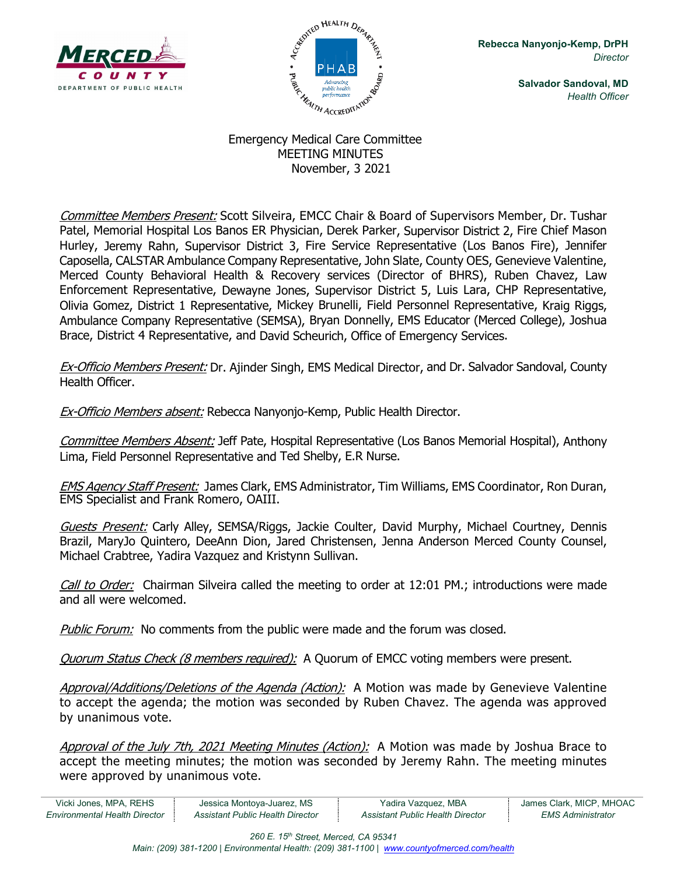



**Salvador Sandoval, MD** *Health Officer*

## Emergency Medical Care Committee MEETING MINUTES November, 3 2021

Committee Members Present: Scott Silveira, EMCC Chair & Board of Supervisors Member, Dr. Tushar Patel, Memorial Hospital Los Banos ER Physician, Derek Parker, Supervisor District 2, Fire Chief Mason Hurley, Jeremy Rahn, Supervisor District 3, Fire Service Representative (Los Banos Fire), Jennifer Caposella, CALSTAR Ambulance Company Representative, John Slate, County OES, Genevieve Valentine, Merced County Behavioral Health & Recovery services (Director of BHRS), Ruben Chavez, Law Enforcement Representative, Dewayne Jones, Supervisor District 5, Luis Lara, CHP Representative, Olivia Gomez, District 1 Representative, Mickey Brunelli, Field Personnel Representative, Kraig Riggs, Ambulance Company Representative (SEMSA), Bryan Donnelly, EMS Educator (Merced College), Joshua Brace, District 4 Representative, and David Scheurich, Office of Emergency Services.

Ex-Officio Members Present: Dr. Ajinder Singh, EMS Medical Director, and Dr. Salvador Sandoval, County Health Officer.

**Ex-Officio Members absent:** Rebecca Nanyonjo-Kemp, Public Health Director.

Committee Members Absent: Jeff Pate, Hospital Representative (Los Banos Memorial Hospital), Anthony Lima, Field Personnel Representative and Ted Shelby, E.R Nurse.

EMS Agency Staff Present: James Clark, EMS Administrator, Tim Williams, EMS Coordinator, Ron Duran, EMS Specialist and Frank Romero, OAIII.

Guests Present: Carly Alley, SEMSA/Riggs, Jackie Coulter, David Murphy, Michael Courtney, Dennis Brazil, MaryJo Quintero, DeeAnn Dion, Jared Christensen, Jenna Anderson Merced County Counsel, Michael Crabtree, Yadira Vazquez and Kristynn Sullivan.

Call to Order: Chairman Silveira called the meeting to order at 12:01 PM.; introductions were made and all were welcomed.

Public Forum: No comments from the public were made and the forum was closed.

Quorum Status Check (8 members required):A Quorum of EMCC voting members were present.

Approval/Additions/Deletions of the Agenda (Action): A Motion was made by Genevieve Valentine to accept the agenda; the motion was seconded by Ruben Chavez. The agenda was approved by unanimous vote.

Approval of the July 7th, 2021 Meeting Minutes (Action): A Motion was made by Joshua Brace to accept the meeting minutes; the motion was seconded by Jeremy Rahn. The meeting minutes were approved by unanimous vote.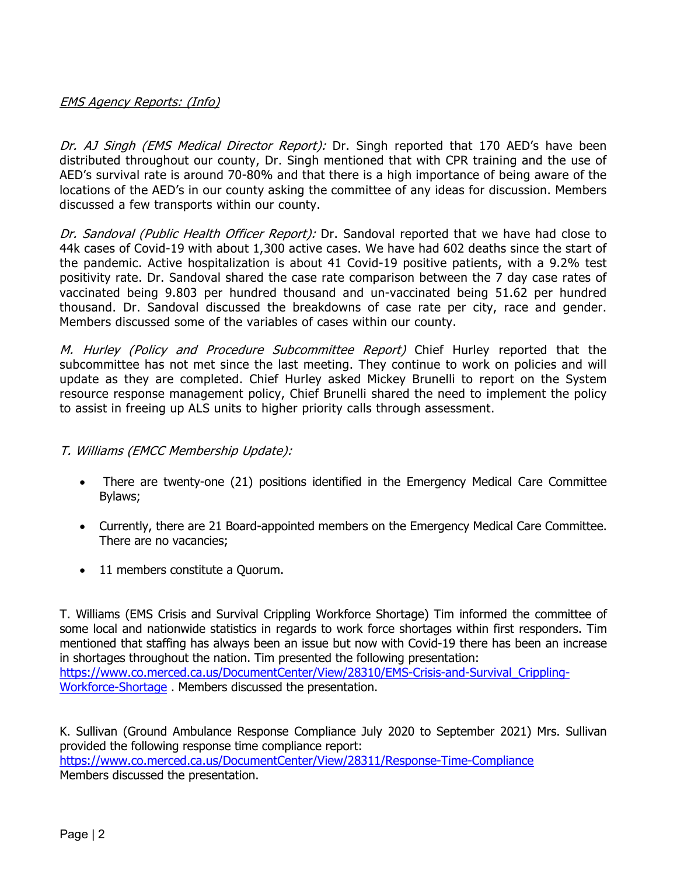### EMS Agency Reports: (Info)

Dr. AJ Singh (EMS Medical Director Report): Dr. Singh reported that 170 AED's have been distributed throughout our county, Dr. Singh mentioned that with CPR training and the use of AED's survival rate is around 70-80% and that there is a high importance of being aware of the locations of the AED's in our county asking the committee of any ideas for discussion. Members discussed a few transports within our county.

Dr. Sandoval (Public Health Officer Report): Dr. Sandoval reported that we have had close to 44k cases of Covid-19 with about 1,300 active cases. We have had 602 deaths since the start of the pandemic. Active hospitalization is about 41 Covid-19 positive patients, with a 9.2% test positivity rate. Dr. Sandoval shared the case rate comparison between the 7 day case rates of vaccinated being 9.803 per hundred thousand and un-vaccinated being 51.62 per hundred thousand. Dr. Sandoval discussed the breakdowns of case rate per city, race and gender. Members discussed some of the variables of cases within our county.

M. Hurley (Policy and Procedure Subcommittee Report) Chief Hurley reported that the subcommittee has not met since the last meeting. They continue to work on policies and will update as they are completed. Chief Hurley asked Mickey Brunelli to report on the System resource response management policy, Chief Brunelli shared the need to implement the policy to assist in freeing up ALS units to higher priority calls through assessment.

### T. Williams (EMCC Membership Update):

- There are twenty-one (21) positions identified in the Emergency Medical Care Committee Bylaws;
- Currently, there are 21 Board-appointed members on the Emergency Medical Care Committee. There are no vacancies;
- 11 members constitute a Quorum.

T. Williams (EMS Crisis and Survival Crippling Workforce Shortage) Tim informed the committee of some local and nationwide statistics in regards to work force shortages within first responders. Tim mentioned that staffing has always been an issue but now with Covid-19 there has been an increase in shortages throughout the nation. Tim presented the following presentation: https://www.co.merced.ca.us/DocumentCenter/View/28310/EMS-Crisis-and-Survival Crippling-[Workforce-Shortage](https://www.co.merced.ca.us/DocumentCenter/View/28310/EMS-Crisis-and-Survival_Crippling-Workforce-Shortage) . Members discussed the presentation.

K. Sullivan (Ground Ambulance Response Compliance July 2020 to September 2021) Mrs. Sullivan provided the following response time compliance report: <https://www.co.merced.ca.us/DocumentCenter/View/28311/Response-Time-Compliance> Members discussed the presentation.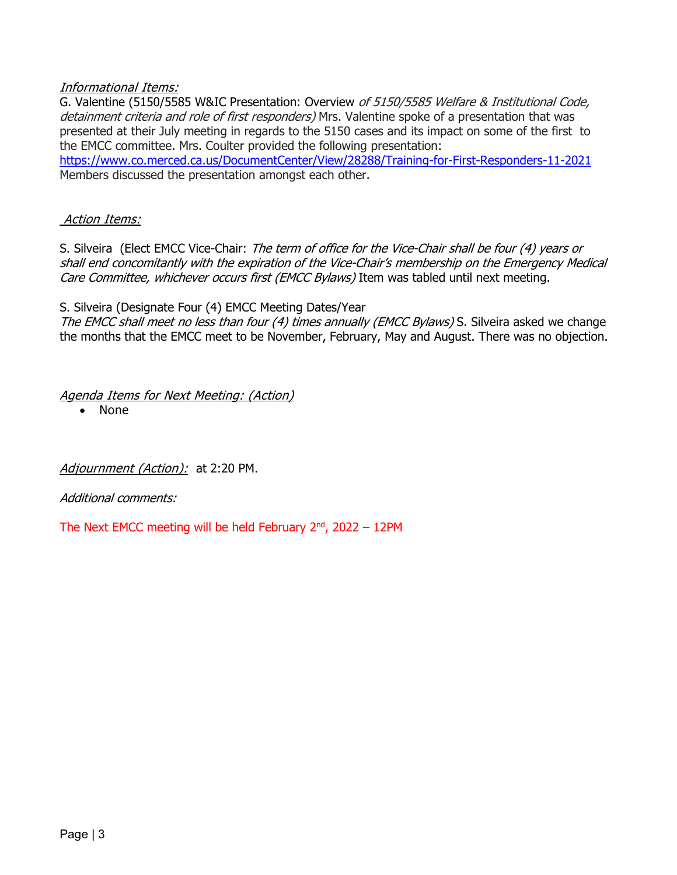#### Informational Items:

G. Valentine (5150/5585 W&IC Presentation: Overview of 5150/5585 Welfare & Institutional Code, detainment criteria and role of first responders) Mrs. Valentine spoke of a presentation that was presented at their July meeting in regards to the 5150 cases and its impact on some of the first to the EMCC committee. Mrs. Coulter provided the following presentation:

<https://www.co.merced.ca.us/DocumentCenter/View/28288/Training-for-First-Responders-11-2021> Members discussed the presentation amongst each other.

#### Action Items:

S. Silveira (Elect EMCC Vice-Chair: The term of office for the Vice-Chair shall be four (4) years or shall end concomitantly with the expiration of the Vice-Chair's membership on the Emergency Medical Care Committee, whichever occurs first (EMCC Bylaws) Item was tabled until next meeting.

#### S. Silveira (Designate Four (4) EMCC Meeting Dates/Year

The EMCC shall meet no less than four (4) times annually (EMCC Bylaws) S. Silveira asked we change the months that the EMCC meet to be November, February, May and August. There was no objection.

Agenda Items for Next Meeting: (Action)

• None

Adjournment (Action): at 2:20 PM.

Additional comments:

The Next EMCC meeting will be held February  $2<sup>nd</sup>$ , 2022 – 12PM